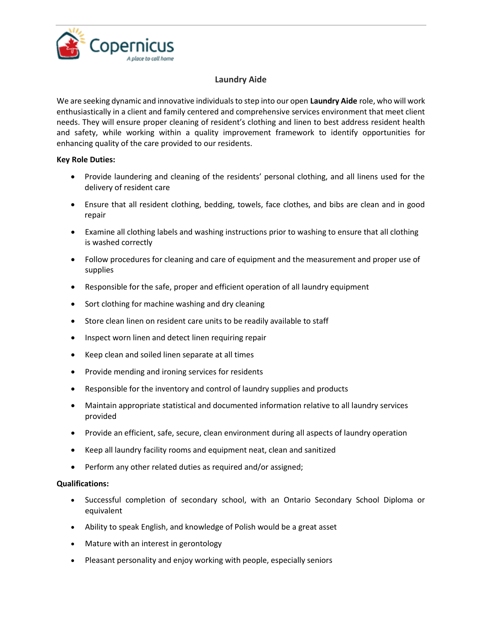

## **Laundry Aide**

We are seeking dynamic and innovative individuals to step into our open **Laundry Aide** role, who will work enthusiastically in a client and family centered and comprehensive services environment that meet client needs. They will ensure proper cleaning of resident's clothing and linen to best address resident health and safety, while working within a quality improvement framework to identify opportunities for enhancing quality of the care provided to our residents.

## **Key Role Duties:**

- Provide laundering and cleaning of the residents' personal clothing, and all linens used for the delivery of resident care
- Ensure that all resident clothing, bedding, towels, face clothes, and bibs are clean and in good repair
- Examine all clothing labels and washing instructions prior to washing to ensure that all clothing is washed correctly
- Follow procedures for cleaning and care of equipment and the measurement and proper use of supplies
- Responsible for the safe, proper and efficient operation of all laundry equipment
- Sort clothing for machine washing and dry cleaning
- Store clean linen on resident care units to be readily available to staff
- Inspect worn linen and detect linen requiring repair
- Keep clean and soiled linen separate at all times
- Provide mending and ironing services for residents
- Responsible for the inventory and control of laundry supplies and products
- Maintain appropriate statistical and documented information relative to all laundry services provided
- Provide an efficient, safe, secure, clean environment during all aspects of laundry operation
- Keep all laundry facility rooms and equipment neat, clean and sanitized
- Perform any other related duties as required and/or assigned;

## **Qualifications:**

- Successful completion of secondary school, with an Ontario Secondary School Diploma or equivalent
- Ability to speak English, and knowledge of Polish would be a great asset
- Mature with an interest in gerontology
- Pleasant personality and enjoy working with people, especially seniors